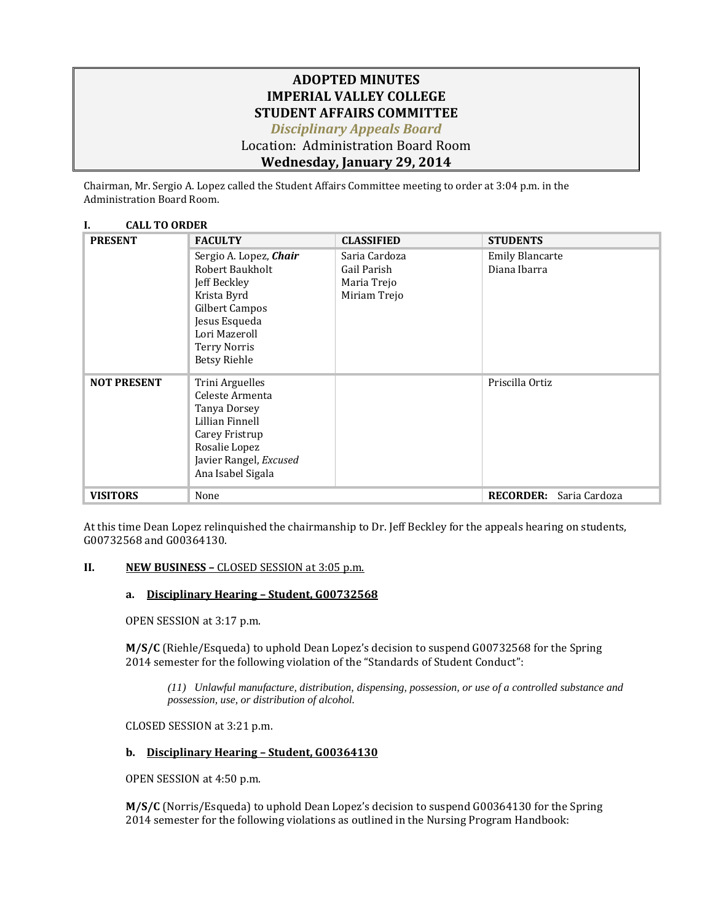## **ADOPTED MINUTES IMPERIAL VALLEY COLLEGE STUDENT AFFAIRS COMMITTEE** *Disciplinary Appeals Board* Location: Administration Board Room

# **Wednesday, January 29, 2014**

Chairman, Mr. Sergio A. Lopez called the Student Affairs Committee meeting to order at 3:04 p.m. in the Administration Board Room.

#### **I. CALL TO ORDER**

| <b>PRESENT</b>     | <b>FACULTY</b>         | <b>CLASSIFIED</b> | <b>STUDENTS</b>                   |
|--------------------|------------------------|-------------------|-----------------------------------|
|                    | Sergio A. Lopez, Chair | Saria Cardoza     | <b>Emily Blancarte</b>            |
|                    | Robert Baukholt        | Gail Parish       | Diana Ibarra                      |
|                    | Jeff Beckley           | Maria Trejo       |                                   |
|                    | Krista Byrd            | Miriam Trejo      |                                   |
|                    | Gilbert Campos         |                   |                                   |
|                    | Jesus Esqueda          |                   |                                   |
|                    | Lori Mazeroll          |                   |                                   |
|                    | <b>Terry Norris</b>    |                   |                                   |
|                    | <b>Betsy Riehle</b>    |                   |                                   |
| <b>NOT PRESENT</b> | Trini Arguelles        |                   | Priscilla Ortiz                   |
|                    | Celeste Armenta        |                   |                                   |
|                    | Tanya Dorsey           |                   |                                   |
|                    | Lillian Finnell        |                   |                                   |
|                    | Carey Fristrup         |                   |                                   |
|                    | Rosalie Lopez          |                   |                                   |
|                    | Javier Rangel, Excused |                   |                                   |
|                    | Ana Isabel Sigala      |                   |                                   |
| <b>VISITORS</b>    | None                   |                   | <b>RECORDER:</b><br>Saria Cardoza |

At this time Dean Lopez relinquished the chairmanship to Dr. Jeff Beckley for the appeals hearing on students, G00732568 and G00364130.

### **II. NEW BUSINESS –** CLOSED SESSION at 3:05 p.m.

### **a. Disciplinary Hearing – Student, G00732568**

OPEN SESSION at 3:17 p.m.

**M/S/C** (Riehle/Esqueda) to uphold Dean Lopez's decision to suspend G00732568 for the Spring 2014 semester for the following violation of the "Standards of Student Conduct":

*(11) Unlawful manufacture, distribution, dispensing, possession, or use of a controlled substance and possession, use, or distribution of alcohol.*

CLOSED SESSION at 3:21 p.m.

### **b. Disciplinary Hearing – Student, G00364130**

OPEN SESSION at 4:50 p.m.

**M/S/C** (Norris/Esqueda) to uphold Dean Lopez's decision to suspend G00364130 for the Spring 2014 semester for the following violations as outlined in the Nursing Program Handbook: